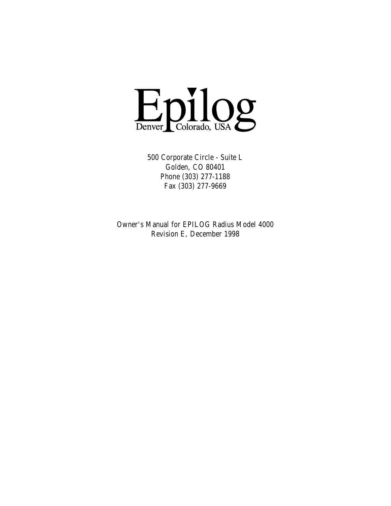

500 Corporate Circle - Suite L Golden, CO 80401 Phone (303) 277-1188 Fax (303) 277-9669

Owner's Manual for EPILOG Radius Model 4000 Revision E, December 1998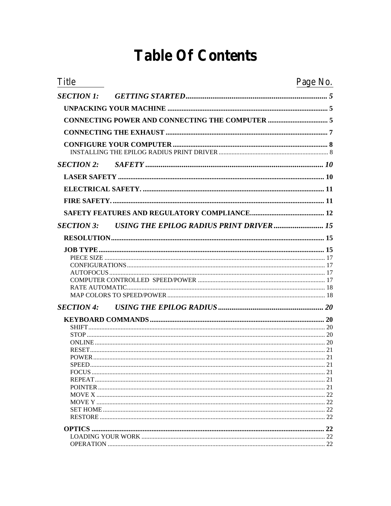## **Table Of Contents**

| <b>Title</b>      | Page No. |
|-------------------|----------|
| <b>SECTION 1:</b> |          |
|                   |          |
|                   |          |
|                   |          |
|                   |          |
| <b>SECTION 2:</b> |          |
|                   |          |
|                   |          |
|                   |          |
|                   |          |
| <b>SECTION 3:</b> |          |
|                   |          |
|                   |          |
|                   |          |
|                   |          |
|                   |          |
|                   |          |
|                   |          |
|                   |          |
| <b>SECTION 4:</b> |          |
|                   |          |
|                   |          |
|                   |          |
|                   |          |
|                   |          |
|                   |          |
|                   |          |
|                   |          |
|                   |          |
|                   |          |
|                   |          |
|                   |          |
|                   | 22       |
|                   |          |
|                   |          |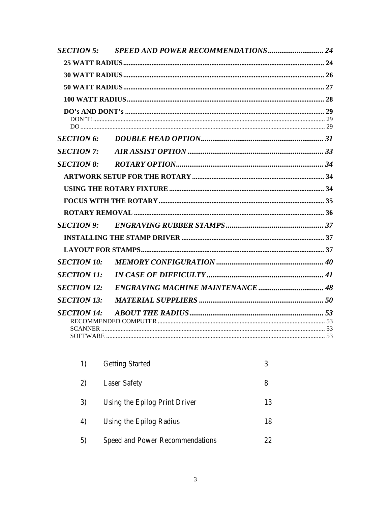| <b>SECTION 5:</b>  |  |
|--------------------|--|
|                    |  |
|                    |  |
|                    |  |
|                    |  |
|                    |  |
| <b>SECTION 6:</b>  |  |
| <b>SECTION 7:</b>  |  |
| <b>SECTION 8:</b>  |  |
|                    |  |
|                    |  |
|                    |  |
|                    |  |
| <b>SECTION 9:</b>  |  |
|                    |  |
|                    |  |
| <b>SECTION 10:</b> |  |
| <b>SECTION 11:</b> |  |
| <b>SECTION 12:</b> |  |
| <b>SECTION 13:</b> |  |
| <b>SECTION 14:</b> |  |

| 1) | <b>Getting Started</b>                 | 3  |
|----|----------------------------------------|----|
| 2) | <b>Laser Safety</b>                    | 8  |
| 3) | Using the Epilog Print Driver          | 13 |
| 4) | Using the Epilog Radius                | 18 |
| 5) | <b>Speed and Power Recommendations</b> | 22 |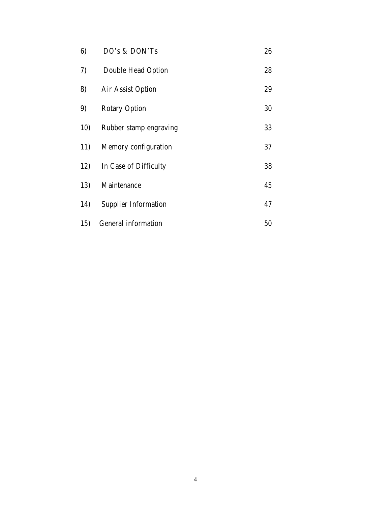| 6)  | DO's & DON'Ts               | 26 |
|-----|-----------------------------|----|
| 7)  | <b>Double Head Option</b>   | 28 |
| 8)  | <b>Air Assist Option</b>    | 29 |
| 9)  | <b>Rotary Option</b>        | 30 |
| 10) | Rubber stamp engraving      | 33 |
| 11) | <b>Memory configuration</b> | 37 |
| 12) | In Case of Difficulty       | 38 |
| 13) | Maintenance                 | 45 |
| 14) | <b>Supplier Information</b> | 47 |
| 15) | <b>General information</b>  | 50 |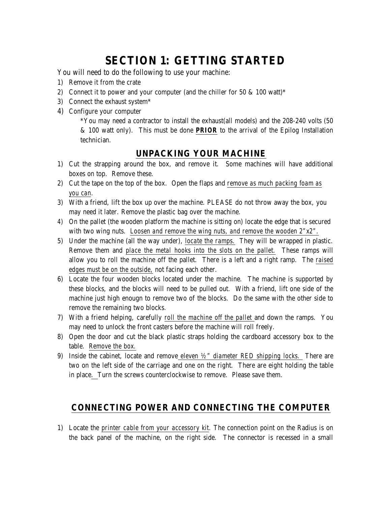## **SECTION 1: GETTING STARTED**

You will need to do the following to use your machine:

- 1) Remove it from the crate
- 2) Connect it to power and your computer (and the chiller for 50  $\&$  100 watt)\*
- 3) Connect the exhaust system\*
- 4) Configure your computer

\*You may need a contractor to install the exhaust(all models) and the 208-240 volts (50 & 100 watt only). This must be done *PRIOR* to the arrival of the Epilog Installation technician.

## **UNPACKING YOUR MACHINE**

- 1) Cut the strapping around the box, and remove it. Some machines will have additional boxes on top. Remove these.
- 2) Cut the tape on the top of the box. Open the flaps and *remove as much packing foam as you can*.
- 3) With a friend, lift the box up over the machine. PLEASE do not throw away the box, you may need it later. Remove the plastic bag over the machine.
- *4)* On the pallet (the wooden platform the machine is sitting on) locate the edge that is secured with two wing nuts. *Loosen and remove the wing nuts, and remove the wooden 2"x2".*
- 5) Under the machine (all the way under), *locate the ramps.* They will be wrapped in plastic. Remove them and *place the metal hooks into the slots on the pallet.* These ramps will allow you to roll the machine off the pallet. There is a left and a right ramp. The *raised edges must be on the outside,* not facing each other.
- 6) Locate the four wooden blocks located under the machine. The machine is supported by these blocks, and the blocks will need to be pulled out. With a friend, lift one side of the machine just high enougn to remove two of the blocks. Do the same with the other side to remove the remaining two blocks.
- 7) With a friend helping, carefully *roll the machine off the pallet* and down the ramps. You may need to unlock the front casters before the machine will roll freely.
- 8) Open the door and cut the black plastic straps holding the cardboard accessory box to the table. *Remove the box.*
- 9) Inside the cabinet, locate and remove *eleven ½" diameter RED shipping locks.* There are two on the left side of the carriage and one on the right. There are eight holding the table in place*.* Turn the screws counterclockwise to remove. Please save them.

## **CONNECTING POWER AND CONNECTING THE COMPUTER**

1) Locate the *printer cable from your accessory kit*. The connection point on the Radius is on the back panel of the machine, on the right side. The connector is recessed in a small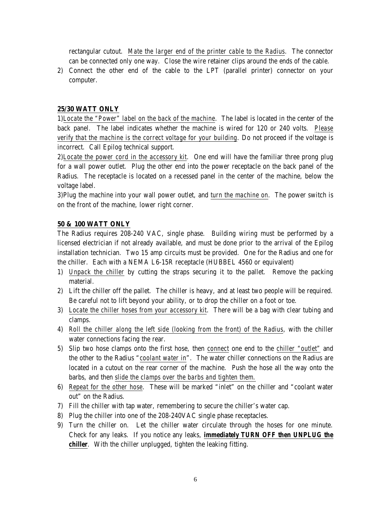rectangular cutout. *Mate the larger end of the printer cable to the Radius*. The connector can be connected only one way. Close the wire retainer clips around the ends of the cable.

2) Connect the other end of the cable to the LPT (parallel printer) connector on your computer.

### **25/30 WATT ONLY**

1)*Locate the "Power" label on the back of the machine*. The label is located in the center of the back panel. The label indicates whether the machine is wired for 120 or 240 volts. *Please verify that the machine is the correct voltage for your building*. Do not proceed if the voltage is incorrect. Call Epilog technical support.

2)*Locate the power cord in the accessory kit*. One end will have the familiar three prong plug for a wall power outlet. Plug the other end into the power receptacle on the back panel of the Radius. The receptacle is located on a recessed panel in the center of the machine, below the voltage label.

3)Plug the machine into your wall power outlet, and *turn the machine on*. The power switch is on the front of the machine, lower right corner.

### **50 & 100 WATT ONLY**

The Radius requires 208-240 VAC, single phase. Building wiring must be performed by a licensed electrician if not already available, and must be done prior to the arrival of the Epilog installation technician. Two 15 amp circuits must be provided. One for the Radius and one for the chiller. Each with a NEMA L6-15R receptacle (HUBBEL 4560 or equivalent)

- 1) *Unpack the chiller* by cutting the straps securing it to the pallet. Remove the packing material.
- 2) Lift the chiller off the pallet. The chiller is heavy, and at least two people will be required. Be careful not to lift beyond your ability, or to drop the chiller on a foot or toe.
- 3) *Locate the chiller hoses from your accessory kit*. There will be a bag with clear tubing and clamps.
- 4) *Roll the chiller along the left side (looking from the front) of the Radius*, with the chiller water connections facing the rear.
- 5) Slip two hose clamps onto the first hose, then *connect* one end to the *chiller "outlet"* and the other to the Radius "*coolant water in*". The water chiller connections on the Radius are located in a cutout on the rear corner of the machine. Push the hose all the way onto the barbs, and then *slide the clamps over the barbs and tighten them.*
- 6) *Repeat for the other hose*. These will be marked "inlet" on the chiller and "coolant water out" on the Radius.
- 7) Fill the chiller with tap water, remembering to secure the chiller's water cap.
- 8) Plug the chiller into one of the 208-240VAC single phase receptacles.
- 9) Turn the chiller on. Let the chiller water circulate through the hoses for one minute. Check for any leaks. If you notice any leaks, *immediately TURN OFF then UNPLUG the chiller*. With the chiller unplugged, tighten the leaking fitting.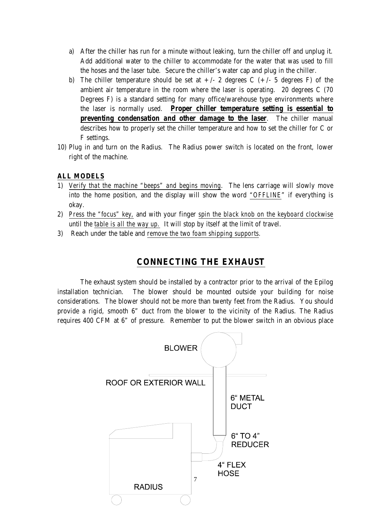- a) After the chiller has run for a minute without leaking, turn the chiller off and unplug it. Add additional water to the chiller to accommodate for the water that was used to fill the hoses and the laser tube. Secure the chiller's water cap and plug in the chiller.
- b) The chiller temperature should be set at  $+/- 2$  degrees C  $(+/- 5$  degrees F) of the ambient air temperature in the room where the laser is operating. 20 degrees C (70 Degrees F) is a standard setting for many office/warehouse type environments where the laser is normally used. *Proper chiller temperature setting is essential to preventing condensation and other damage to the laser*. The chiller manual describes how to properly set the chiller temperature and how to set the chiller for C or F settings.
- 10) Plug in and turn on the Radius. The Radius power switch is located on the front, lower right of the machine.

### **ALL MODELS**

- 1) *Verify that the machine "beeps" and begins moving*. The lens carriage will slowly move into the home position, and the display will show the word *"OFFLINE*" if everything is okay.
- 2) *Press the "focus" key,* and with your finger *spin the black knob on the keyboard clockwise* until the *table is all the way up.* It will stop by itself at the limit of travel.
- 3) Reach under the table and *remove the two foam shipping supports.*

## **CONNECTING THE EXHAUST**

The exhaust system should be installed by a contractor prior to the arrival of the Epilog installation technician. The blower should be mounted outside your building for noise considerations. The blower should not be more than twenty feet from the Radius. You should provide a rigid, smooth 6" duct from the blower to the vicinity of the Radius. The Radius requires 400 CFM at 6" of pressure. Remember to put the blower switch in an obvious place

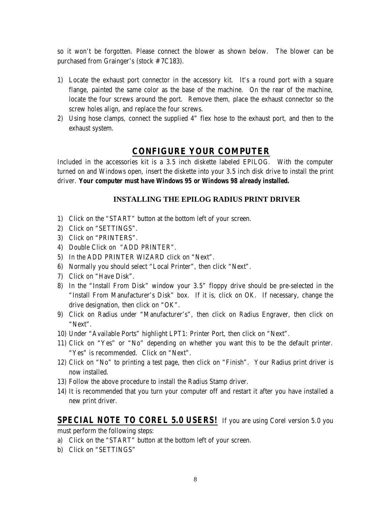so it won't be forgotten. Please connect the blower as shown below. The blower can be purchased from Grainger's (stock # 7C183).

- 1) Locate the exhaust port connector in the accessory kit. It's a round port with a square flange, painted the same color as the base of the machine. On the rear of the machine, locate the four screws around the port. Remove them, place the exhaust connector so the screw holes align, and replace the four screws.
- 2) Using hose clamps, connect the supplied 4" flex hose to the exhaust port, and then to the exhaust system.

## **CONFIGURE YOUR COMPUTER**

Included in the accessories kit is a 3.5 inch diskette labeled EPILOG. With the computer turned on and Windows open, insert the diskette into your 3.5 inch disk drive to install the print driver. *Your computer must have Windows 95 or Windows 98 already installed.* 

#### **INSTALLING THE EPILOG RADIUS PRINT DRIVER**

- 1) Click on the "START" button at the bottom left of your screen.
- 2) Click on "SETTINGS".
- 3) Click on "PRINTERS".
- 4) Double Click on "ADD PRINTER".
- 5) In the ADD PRINTER WIZARD click on "Next".
- 6) Normally you should select "Local Printer", then click "Next".
- 7) Click on "Have Disk".
- 8) In the "Install From Disk" window your 3.5" floppy drive should be pre-selected in the "Install From Manufacturer's Disk" box. If it is, click on OK. If necessary, change the drive designation, then click on "OK".
- 9) Click on Radius under "Manufacturer's", then click on Radius Engraver, then click on "Next".
- 10) Under "Available Ports" highlight LPT1: Printer Port, then click on "Next".
- 11) Click on "Yes" or "No" depending on whether you want this to be the default printer. "Yes" is recommended. Click on "Next".
- 12) Click on "No" to printing a test page, then click on "Finish". Your Radius print driver is now installed.
- 13) Follow the above procedure to install the Radius Stamp driver.
- 14) It is recommended that you turn your computer off and restart it after you have installed a new print driver.

### *SPECIAL NOTE TO COREL 5.0 USERS!* If you are using Corel version 5.0 you

must perform the following steps:

- a) Click on the "START" button at the bottom left of your screen.
- b) Click on "SETTINGS"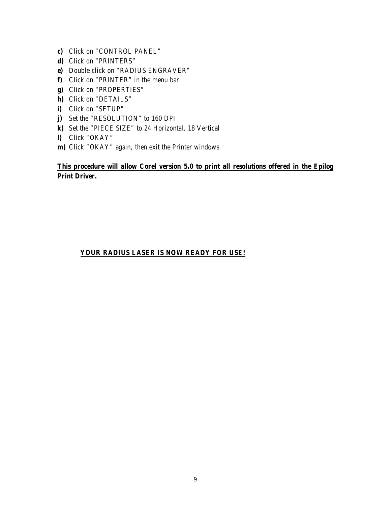- **c)** Click on "CONTROL PANEL"
- **d)** Click on "PRINTERS"
- **e)** Double click on "RADIUS ENGRAVER"
- **f)** Click on "PRINTER" in the menu bar
- **g)** Click on "PROPERTIES"
- **h)** Click on "DETAILS"
- **i)** Click on "SETUP"
- **j)** Set the "RESOLUTION" to 160 DPI
- **k)** Set the "PIECE SIZE" to 24 Horizontal, 18 Vertical
- **l)** Click "OKAY"
- **m)** Click "OKAY" again, then exit the Printer windows

## **This procedure will allow Corel version 5.0 to print all resolutions offered in the Epilog Print Driver.**

## **YOUR RADIUS LASER IS NOW READY FOR USE!**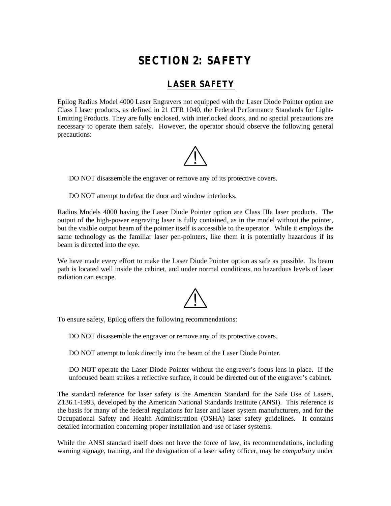## **SECTION 2: SAFETY**

## **LASER SAFETY**

Epilog Radius Model 4000 Laser Engravers not equipped with the Laser Diode Pointer option are Class I laser products, as defined in 21 CFR 1040, the Federal Performance Standards for Light-Emitting Products. They are fully enclosed, with interlocked doors, and no special precautions are necessary to operate them safely. However, the operator should observe the following general precautions:



DO NOT disassemble the engraver or remove any of its protective covers.

DO NOT attempt to defeat the door and window interlocks.

Radius Models 4000 having the Laser Diode Pointer option are Class IIIa laser products. The output of the high-power engraving laser is fully contained, as in the model without the pointer, but the visible output beam of the pointer itself is accessible to the operator. While it employs the same technology as the familiar laser pen-pointers, like them it is potentially hazardous if its beam is directed into the eye.

We have made every effort to make the Laser Diode Pointer option as safe as possible. Its beam path is located well inside the cabinet, and under normal conditions, no hazardous levels of laser radiation can escape.

To ensure safety, Epilog offers the following recommendations:

DO NOT disassemble the engraver or remove any of its protective covers.

DO NOT attempt to look directly into the beam of the Laser Diode Pointer.

DO NOT operate the Laser Diode Pointer without the engraver's focus lens in place. If the unfocused beam strikes a reflective surface, it could be directed out of the engraver's cabinet.

The standard reference for laser safety is the American Standard for the Safe Use of Lasers, Z136.1-1993, developed by the American National Standards Institute (ANSI). This reference is the basis for many of the federal regulations for laser and laser system manufacturers, and for the Occupational Safety and Health Administration (OSHA) laser safety guidelines. It contains detailed information concerning proper installation and use of laser systems.

While the ANSI standard itself does not have the force of law, its recommendations, including warning signage, training, and the designation of a laser safety officer, may be *compulsory* under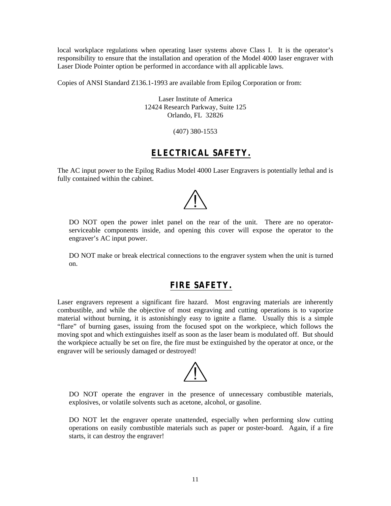local workplace regulations when operating laser systems above Class I. It is the operator's responsibility to ensure that the installation and operation of the Model 4000 laser engraver with Laser Diode Pointer option be performed in accordance with all applicable laws.

Copies of ANSI Standard Z136.1-1993 are available from Epilog Corporation or from:

Laser Institute of America 12424 Research Parkway, Suite 125 Orlando, FL 32826

(407) 380-1553

## **ELECTRICAL SAFETY.**

The AC input power to the Epilog Radius Model 4000 Laser Engravers is potentially lethal and is fully contained within the cabinet.



DO NOT open the power inlet panel on the rear of the unit. There are no operatorserviceable components inside, and opening this cover will expose the operator to the engraver's AC input power.

DO NOT make or break electrical connections to the engraver system when the unit is turned on.

## **FIRE SAFETY.**

Laser engravers represent a significant fire hazard. Most engraving materials are inherently combustible, and while the objective of most engraving and cutting operations is to vaporize material without burning, it is astonishingly easy to ignite a flame. Usually this is a simple "flare" of burning gases, issuing from the focused spot on the workpiece, which follows the moving spot and which extinguishes itself as soon as the laser beam is modulated off. But should the workpiece actually be set on fire, the fire must be extinguished by the operator at once, or the engraver will be seriously damaged or destroyed!



DO NOT operate the engraver in the presence of unnecessary combustible materials, explosives, or volatile solvents such as acetone, alcohol, or gasoline.

DO NOT let the engraver operate unattended, especially when performing slow cutting operations on easily combustible materials such as paper or poster-board. Again, if a fire starts, it can destroy the engraver!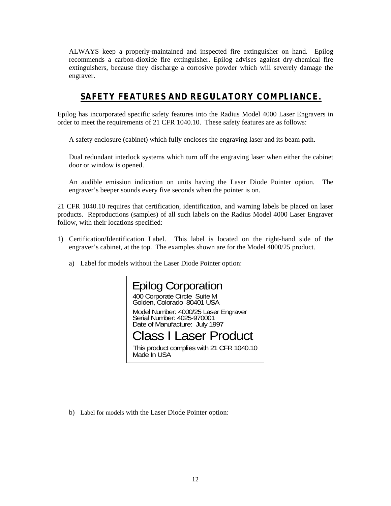ALWAYS keep a properly-maintained and inspected fire extinguisher on hand. Epilog recommends a carbon-dioxide fire extinguisher. Epilog advises against dry-chemical fire extinguishers, because they discharge a corrosive powder which will severely damage the engraver.

## **SAFETY FEATURES AND REGULATORY COMPLIANCE.**

Epilog has incorporated specific safety features into the Radius Model 4000 Laser Engravers in order to meet the requirements of 21 CFR 1040.10. These safety features are as follows:

A safety enclosure (cabinet) which fully encloses the engraving laser and its beam path.

Dual redundant interlock systems which turn off the engraving laser when either the cabinet door or window is opened.

An audible emission indication on units having the Laser Diode Pointer option. The engraver's beeper sounds every five seconds when the pointer is on.

21 CFR 1040.10 requires that certification, identification, and warning labels be placed on laser products. Reproductions (samples) of all such labels on the Radius Model 4000 Laser Engraver follow, with their locations specified:

- 1) Certification/Identification Label. This label is located on the right-hand side of the engraver's cabinet, at the top. The examples shown are for the Model 4000/25 product.
	- a) Label for models without the Laser Diode Pointer option:



b) Label for models with the Laser Diode Pointer option: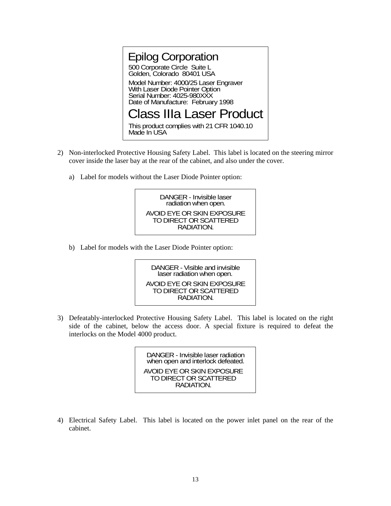

- 2) Non-interlocked Protective Housing Safety Label. This label is located on the steering mirror cover inside the laser bay at the rear of the cabinet, and also under the cover.
	- a) Label for models without the Laser Diode Pointer option:



b) Label for models with the Laser Diode Pointer option:

DANGER - Visible and invisible laser radiation when open. AVOID EYE OR SKIN EXPOSURE TO DIRECT OR SCATTERED RADIATION.

3) Defeatably-interlocked Protective Housing Safety Label. This label is located on the right side of the cabinet, below the access door. A special fixture is required to defeat the interlocks on the Model 4000 product.

> DANGER - Invisible laser radiation when open and interlock defeated. AVOID EYE OR SKIN EXPOSURE TO DIRECT OR SCATTERED **RADIATION**

4) Electrical Safety Label. This label is located on the power inlet panel on the rear of the cabinet.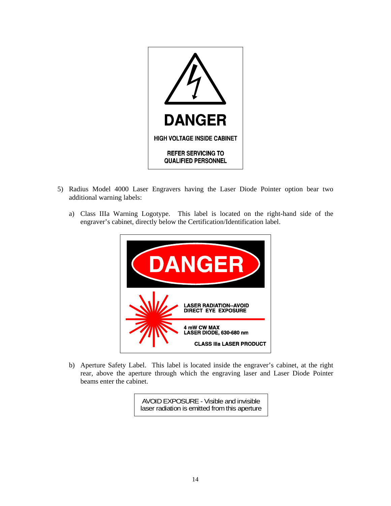

- 5) Radius Model 4000 Laser Engravers having the Laser Diode Pointer option bear two additional warning labels:
	- a) Class IIIa Warning Logotype. This label is located on the right-hand side of the engraver's cabinet, directly below the Certification/Identification label.

| DANGER                                                                           |
|----------------------------------------------------------------------------------|
| <b>LASER RADIATION-AVOID</b><br><b>DIRECT EYE EXPOSURE</b>                       |
| <b>4 mW CW MAX</b><br>LASER DIODE, 630-680 nm<br><b>CLASS IIIa LASER PRODUCT</b> |

b) Aperture Safety Label. This label is located inside the engraver's cabinet, at the right rear, above the aperture through which the engraving laser and Laser Diode Pointer beams enter the cabinet.

> AVOID EXPOSURE - Visible and invisible laser radiation is emitted from this aperture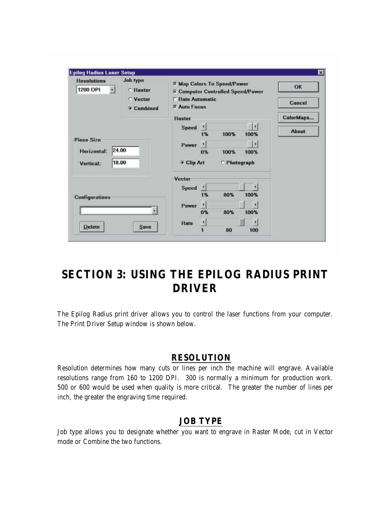| Joh type<br><b>Resolutions</b><br><b>1200 DPI</b><br>ы<br><b>C</b> Raster |                               | <b>X Map Colors To Speed/Power</b><br><b>X Computer Controlled Speed/Power</b> |                        |                     |           | OK           |
|---------------------------------------------------------------------------|-------------------------------|--------------------------------------------------------------------------------|------------------------|---------------------|-----------|--------------|
|                                                                           | ○ Vector<br><b>6</b> Combined | <b>F</b> Rate Automatic<br>$R$ Auto Focus                                      |                        |                     |           | Cancel       |
|                                                                           |                               | <b>Raster</b>                                                                  |                        |                     |           | ColorMaps    |
|                                                                           |                               | <b>Speed</b>                                                                   | ×<br>1%                | 100%                | ×<br>100% | <b>About</b> |
| Piece Size                                                                |                               | Power                                                                          | ×.                     |                     | $\bullet$ |              |
| 24.00<br>Horizontal:                                                      |                               |                                                                                | 0%                     | 100%                | 100%      |              |
| 18.00<br><b>Vertical:</b>                                                 |                               | <b>Clip Art</b>                                                                |                        | <b>C</b> Photograph |           |              |
|                                                                           |                               | Vector                                                                         |                        |                     |           |              |
|                                                                           |                               | Speed                                                                          | M.                     |                     |           |              |
| <b>Configurations</b>                                                     |                               |                                                                                | 1%                     | 80%                 | 100%      |              |
|                                                                           |                               | Power                                                                          | $\left  \cdot \right $ |                     |           |              |
|                                                                           |                               |                                                                                | 0%                     | 80%                 | 100%      |              |
|                                                                           |                               | Rate                                                                           | H.                     |                     |           |              |
| <b>Delete</b>                                                             | <b>Save</b>                   |                                                                                |                        | 80                  | 100       |              |

## **SECTION 3: USING THE EPILOG RADIUS PRINT DRIVER**

The Epilog Radius print driver allows you to control the laser functions from your computer. The Print Driver Setup window is shown below.

## **RESOLUTION**

Resolution determines how many cuts or lines per inch the machine will engrave. Available resolutions range from 160 to 1200 DPI. 300 is normally a minimum for production work. 500 or 600 would be used when quality is more critical. The greater the number of lines per inch, the greater the engraving time required.

## **JOB TYPE**

Job type allows you to designate whether you want to engrave in Raster Mode, cut in Vector mode or Combine the two functions.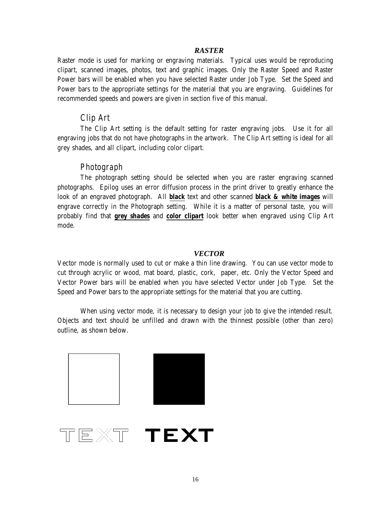### *RASTER*

Raster mode is used for marking or engraving materials. Typical uses would be reproducing clipart, scanned images, photos, text and graphic images. Only the Raster Speed and Raster Power bars will be enabled when you have selected Raster under Job Type. Set the Speed and Power bars to the appropriate settings for the material that you are engraving. Guidelines for recommended speeds and powers are given in section five of this manual.

## *Clip Art*

The Clip Art setting is the default setting for raster engraving jobs. Use it for all engraving jobs that do not have photographs in the artwork. The Clip Art setting is ideal for all grey shades, and all clipart, including color clipart.

## *Photograph*

The photograph setting should be selected when you are raster engraving scanned photographs. Epilog uses an error diffusion process in the print driver to greatly enhance the look of an engraved photograph. All *black* text and other scanned *black & white images* will engrave correctly in the Photograph setting. While it is a matter of personal taste, you will probably find that *grey shades* and *color clipart* look better when engraved using Clip Art mode.

### *VECTOR*

Vector mode is normally used to cut or make a thin line drawing. You can use vector mode to cut through acrylic or wood, mat board, plastic, cork, paper, etc. Only the Vector Speed and Vector Power bars will be enabled when you have selected Vector under Job Type. Set the Speed and Power bars to the appropriate settings for the material that you are cutting.

When using vector mode, it is necessary to design your job to give the intended result. Objects and text should be unfilled and drawn with the thinnest possible (other than zero) outline, as shown below.



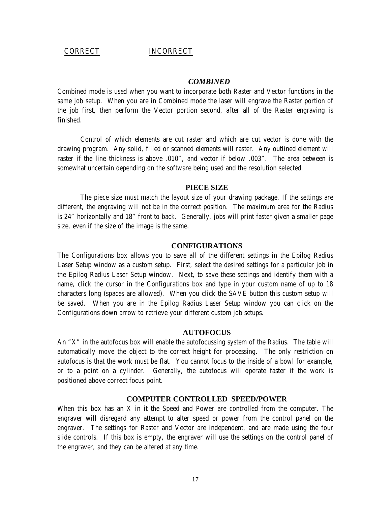#### CORRECT INCORRECT

#### *COMBINED*

Combined mode is used when you want to incorporate both Raster and Vector functions in the same job setup. When you are in Combined mode the laser will engrave the Raster portion of the job first, then perform the Vector portion second, after all of the Raster engraving is finished.

Control of which elements are cut raster and which are cut vector is done with the drawing program. Any solid, filled or scanned elements will raster. Any outlined element will raster if the line thickness is above .010", and vector if below .003". The area between is somewhat uncertain depending on the software being used and the resolution selected.

#### **PIECE SIZE**

The piece size must match the layout size of your drawing package. If the settings are different, the engraving will not be in the correct position. The maximum area for the Radius is 24" horizontally and 18" front to back. Generally, jobs will print faster given a smaller page size, even if the size of the image is the same.

#### **CONFIGURATIONS**

The Configurations box allows you to save all of the different settings in the Epilog Radius Laser Setup window as a custom setup. First, select the desired settings for a particular job in the Epilog Radius Laser Setup window. Next, to save these settings and identify them with a name, click the cursor in the Configurations box and type in your custom name of up to 18 characters long (spaces are allowed). When you click the SAVE button this custom setup will be saved. When you are in the Epilog Radius Laser Setup window you can click on the Configurations down arrow to retrieve your different custom job setups.

#### **AUTOFOCUS**

An "X" in the autofocus box will enable the autofocussing system of the Radius. The table will automatically move the object to the correct height for processing. The only restriction on autofocus is that the work must be flat. You cannot focus to the inside of a bowl for example, or to a point on a cylinder. Generally, the autofocus will operate faster if the work is positioned above correct focus point.

#### **COMPUTER CONTROLLED SPEED/POWER**

When this box has an X in it the Speed and Power are controlled from the computer. The engraver will disregard any attempt to alter speed or power from the control panel on the engraver. The settings for Raster and Vector are independent, and are made using the four slide controls. If this box is empty, the engraver will use the settings on the control panel of the engraver, and they can be altered at any time.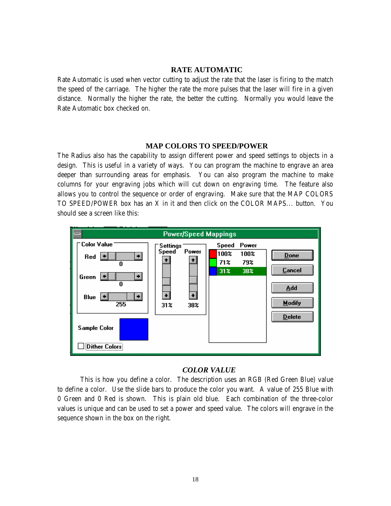## **RATE AUTOMATIC**

Rate Automatic is used when vector cutting to adjust the rate that the laser is firing to the match the speed of the carriage. The higher the rate the more pulses that the laser will fire in a given distance. Normally the higher the rate, the better the cutting. Normally you would leave the Rate Automatic box checked on.

#### **MAP COLORS TO SPEED/POWER**

The Radius also has the capability to assign different power and speed settings to objects in a design. This is useful in a variety of ways. You can program the machine to engrave an area deeper than surrounding areas for emphasis. You can also program the machine to make columns for your engraving jobs which will cut down on engraving time. The feature also allows you to control the sequence or order of engraving. Make sure that the MAP COLORS TO SPEED/POWER box has an X in it and then click on the COLOR MAPS... button. You should see a screen like this:



### *COLOR VALUE*

This is how you define a color. The description uses an RGB (Red Green Blue) value to define a color. Use the slide bars to produce the color you want. A value of 255 Blue with 0 Green and 0 Red is shown. This is plain old blue. Each combination of the three-color values is unique and can be used to set a power and speed value. The colors will engrave in the sequence shown in the box on the right.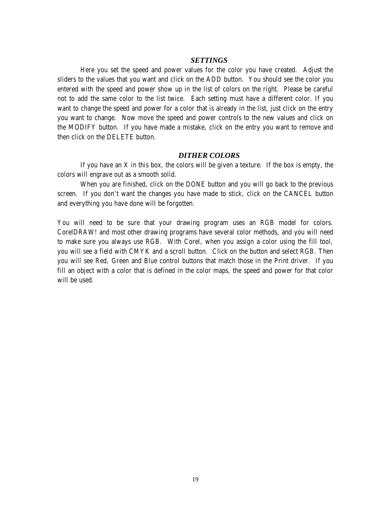#### *SETTINGS*

Here you set the speed and power values for the color you have created. Adjust the sliders to the values that you want and click on the ADD button. You should see the color you entered with the speed and power show up in the list of colors on the right. Please be careful not to add the same color to the list twice. Each setting must have a different color. If you want to change the speed and power for a color that is already in the list, just click on the entry you want to change. Now move the speed and power controls to the new values and click on the MODIFY button. If you have made a mistake, click on the entry you want to remove and then click on the DELETE button.

#### *DITHER COLORS*

If you have an  $X$  in this box, the colors will be given a texture. If the box is empty, the colors will engrave out as a smooth solid.

When you are finished, click on the DONE button and you will go back to the previous screen. If you don't want the changes you have made to stick, click on the CANCEL button and everything you have done will be forgotten.

You will need to be sure that your drawing program uses an RGB model for colors. CorelDRAW! and most other drawing programs have several color methods, and you will need to make sure you always use RGB. With Corel, when you assign a color using the fill tool, you will see a field with CMYK and a scroll button. Click on the button and select RGB. Then you will see Red, Green and Blue control buttons that match those in the Print driver. If you fill an object with a color that is defined in the color maps, the speed and power for that color will be used.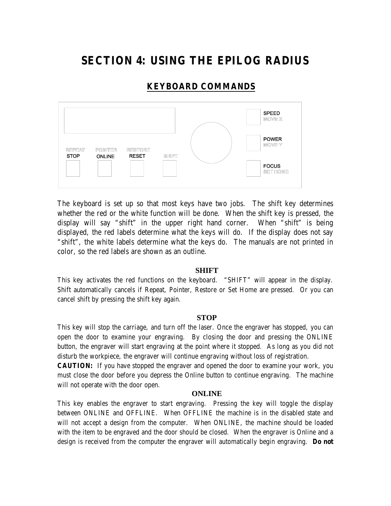## **SECTION 4: USING THE EPILOG RADIUS**

## **KEYBOARD COMMANDS**



The keyboard is set up so that most keys have two jobs. The shift key determines whether the red or the white function will be done. When the shift key is pressed, the display will say "shift" in the upper right hand corner. When "shift" is being displayed, the red labels determine what the keys will do. If the display does not say "shift", the white labels determine what the keys do. The manuals are not printed in color, so the red labels are shown as an outline.

#### **SHIFT**

This key activates the red functions on the keyboard. "SHIFT" will appear in the display. Shift automatically cancels if Repeat, Pointer, Restore or Set Home are pressed. Or you can cancel shift by pressing the shift key again.

### **STOP**

This key will stop the carriage, and turn off the laser. Once the engraver has stopped, you can open the door to examine your engraving. By closing the door and pressing the ONLINE button, the engraver will start engraving at the point where it stopped. As long as you did not disturb the workpiece, the engraver will continue engraving without loss of registration.

**CAUTION:** If you have stopped the engraver and opened the door to examine your work, you must close the door before you depress the Online button to continue engraving. The machine will not operate with the door open.

#### **ONLINE**

This key enables the engraver to start engraving. Pressing the key will toggle the display between ONLINE and OFFLINE. When OFFLINE the machine is in the disabled state and will not accept a design from the computer. When ONLINE, the machine should be loaded with the item to be engraved and the door should be closed. When the engraver is Online and a design is received from the computer the engraver will automatically begin engraving. **Do not**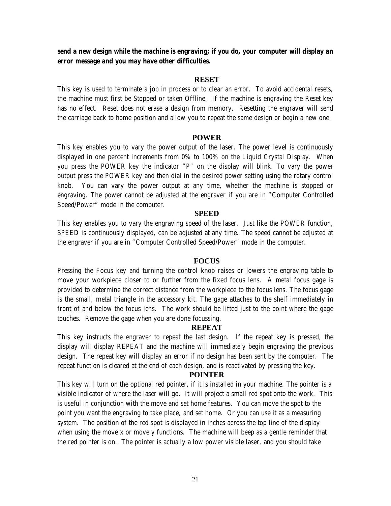**send a new design while the machine is engraving; if you do, your computer will display an error message and you may have other difficulties.** 

#### **RESET**

This key is used to terminate a job in process or to clear an error. To avoid accidental resets, the machine must first be Stopped or taken Offline. If the machine is engraving the Reset key has no effect. Reset does not erase a design from memory. Resetting the engraver will send the carriage back to home position and allow you to repeat the same design or begin a new one.

#### **POWER**

This key enables you to vary the power output of the laser. The power level is continuously displayed in one percent increments from 0% to 100% on the Liquid Crystal Display. When you press the POWER key the indicator "P" on the display will blink. To vary the power output press the POWER key and then dial in the desired power setting using the rotary control knob. You can vary the power output at any time, whether the machine is stopped or engraving. The power cannot be adjusted at the engraver if you are in "Computer Controlled Speed/Power" mode in the computer.

#### **SPEED**

This key enables you to vary the engraving speed of the laser. Just like the POWER function, SPEED is continuously displayed, can be adjusted at any time. The speed cannot be adjusted at the engraver if you are in "Computer Controlled Speed/Power" mode in the computer.

#### **FOCUS**

Pressing the Focus key and turning the control knob raises or lowers the engraving table to move your workpiece closer to or further from the fixed focus lens. A metal focus gage is provided to determine the correct distance from the workpiece to the focus lens. The focus gage is the small, metal triangle in the accessory kit. The gage attaches to the shelf immediately in front of and below the focus lens. The work should be lifted just to the point where the gage touches. Remove the gage when you are done focussing.

#### **REPEAT**

This key instructs the engraver to repeat the last design. If the repeat key is pressed, the display will display REPEAT and the machine will immediately begin engraving the previous design. The repeat key will display an error if no design has been sent by the computer. The repeat function is cleared at the end of each design, and is reactivated by pressing the key.

#### **POINTER**

This key will turn on the optional red pointer, if it is installed in your machine. The pointer is a visible indicator of where the laser will go. It will project a small red spot onto the work. This is useful in conjunction with the move and set home features. You can move the spot to the point you want the engraving to take place, and set home. Or you can use it as a measuring system. The position of the red spot is displayed in inches across the top line of the display when using the move x or move y functions. The machine will beep as a gentle reminder that the red pointer is on. The pointer is actually a low power visible laser, and you should take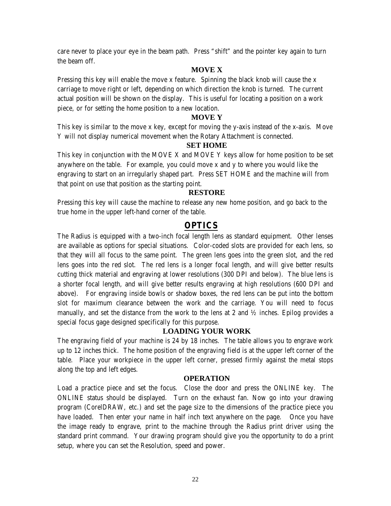care never to place your eye in the beam path. Press "shift" and the pointer key again to turn the beam off.

### **MOVE X**

Pressing this key will enable the move x feature. Spinning the black knob will cause the  $x$ carriage to move right or left, depending on which direction the knob is turned. The current actual position will be shown on the display. This is useful for locating a position on a work piece, or for setting the home position to a new location.

#### **MOVE Y**

This key is similar to the move x key, except for moving the y-axis instead of the x-axis. Move Y will not display numerical movement when the Rotary Attachment is connected.

#### **SET HOME**

This key in conjunction with the MOVE X and MOVE Y keys allow for home position to be set anywhere on the table. For example, you could move x and y to where you would like the engraving to start on an irregularly shaped part. Press SET HOME and the machine will from that point on use that position as the starting point.

#### **RESTORE**

Pressing this key will cause the machine to release any new home position, and go back to the true home in the upper left-hand corner of the table.

## **OPTICS**

The Radius is equipped with a two-inch focal length lens as standard equipment. Other lenses are available as options for special situations. Color-coded slots are provided for each lens, so that they will all focus to the same point. The green lens goes into the green slot, and the red lens goes into the red slot. The red lens is a longer focal length, and will give better results cutting thick material and engraving at lower resolutions (300 DPI and below). The blue lens is a shorter focal length, and will give better results engraving at high resolutions (600 DPI and above). For engraving inside bowls or shadow boxes, the red lens can be put into the bottom slot for maximum clearance between the work and the carriage. You will need to focus manually, and set the distance from the work to the lens at 2 and ½ inches. Epilog provides a special focus gage designed specifically for this purpose.

### **LOADING YOUR WORK**

The engraving field of your machine is 24 by 18 inches. The table allows you to engrave work up to 12 inches thick. The home position of the engraving field is at the upper left corner of the table. Place your workpiece in the upper left corner, pressed firmly against the metal stops along the top and left edges.

### **OPERATION**

Load a practice piece and set the focus. Close the door and press the ONLINE key. The ONLINE status should be displayed. Turn on the exhaust fan. Now go into your drawing program (CorelDRAW, etc.) and set the page size to the dimensions of the practice piece you have loaded. Then enter your name in half inch text anywhere on the page. Once you have the image ready to engrave, print to the machine through the Radius print driver using the standard print command. Your drawing program should give you the opportunity to do a print setup, where you can set the Resolution, speed and power.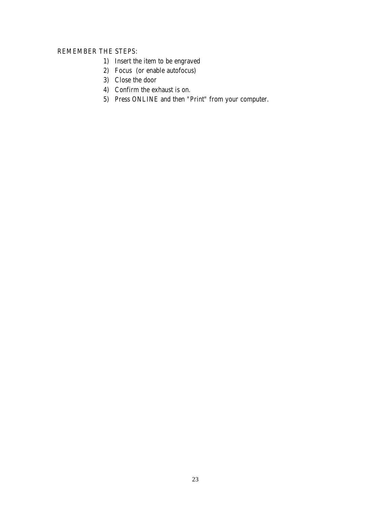### REMEMBER THE STEPS:

- 1) Insert the item to be engraved
- 2) Focus (or enable autofocus)
- 3) Close the door
- 4) Confirm the exhaust is on.
- 5) Press ONLINE and then "Print" from your computer.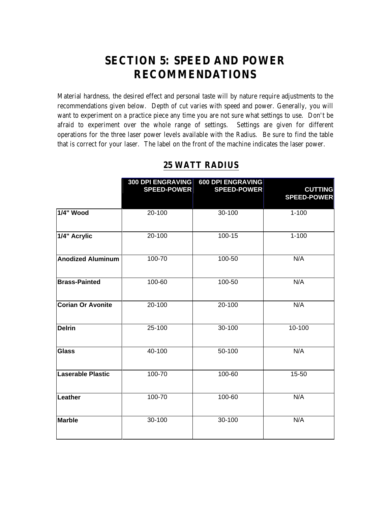## **SECTION 5: SPEED AND POWER RECOMMENDATIONS**

Material hardness, the desired effect and personal taste will by nature require adjustments to the recommendations given below. Depth of cut varies with speed and power. Generally, you will want to experiment on a practice piece any time you are not sure what settings to use. Don't be afraid to experiment over the whole range of settings. Settings are given for different operations for the three laser power levels available with the Radius. Be sure to find the table that is correct for your laser. The label on the front of the machine indicates the laser power.

|                          | <b>300 DPI ENGRAVING</b><br><b>SPEED-POWER</b> | 600 DPI ENGRAVING<br><b>SPEED-POWER</b> | <b>CUTTING</b><br><b>SPEED-POWER</b> |
|--------------------------|------------------------------------------------|-----------------------------------------|--------------------------------------|
| 1/4" Wood                | 20-100                                         | 30-100                                  | $1 - 100$                            |
| 1/4" Acrylic             | 20-100                                         | 100-15                                  | $1 - 100$                            |
| <b>Anodized Aluminum</b> | 100-70                                         | 100-50                                  | N/A                                  |
| <b>Brass-Painted</b>     | 100-60                                         | 100-50                                  | N/A                                  |
| <b>Corian Or Avonite</b> | 20-100                                         | $20 - 100$                              | N/A                                  |
| <b>Delrin</b>            | 25-100                                         | 30-100                                  | 10-100                               |
| <b>Glass</b>             | 40-100                                         | 50-100                                  | N/A                                  |
| <b>Laserable Plastic</b> | 100-70                                         | 100-60                                  | 15-50                                |
| Leather                  | 100-70                                         | 100-60                                  | N/A                                  |
| <b>Marble</b>            | 30-100                                         | 30-100                                  | N/A                                  |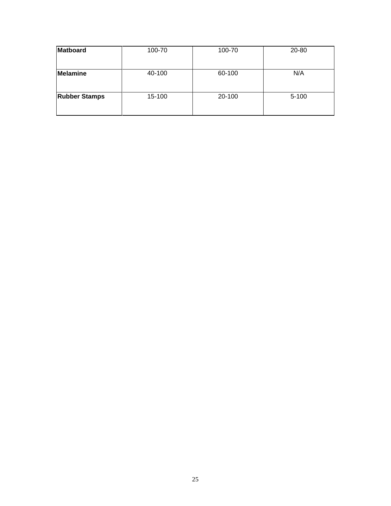| Matboard             | 100-70 | 100-70 | 20-80     |
|----------------------|--------|--------|-----------|
| Melamine             | 40-100 | 60-100 | N/A       |
| <b>Rubber Stamps</b> | 15-100 | 20-100 | $5 - 100$ |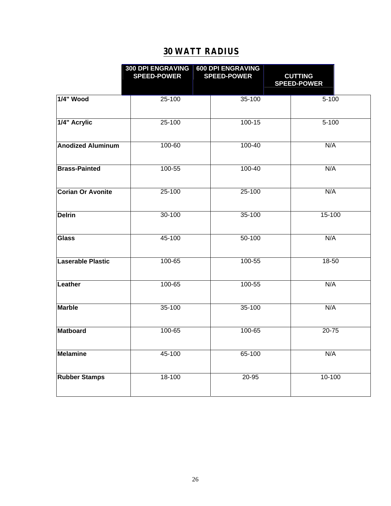|                          | <b>300 DPI ENGRAVING</b><br><b>SPEED-POWER</b> |  | <b>600 DPI ENGRAVING</b><br><b>SPEED-POWER</b> | <b>CUTTING</b><br><b>SPEED-POWER</b> |
|--------------------------|------------------------------------------------|--|------------------------------------------------|--------------------------------------|
| 1/4" Wood                | 25-100                                         |  | 35-100                                         | $5 - 100$                            |
| 1/4" Acrylic             | 25-100                                         |  |                                                | $5 - 100$                            |
| <b>Anodized Aluminum</b> | 100-60                                         |  |                                                | N/A                                  |
| <b>Brass-Painted</b>     | 100-55                                         |  |                                                | N/A                                  |
| <b>Corian Or Avonite</b> | 25-100                                         |  |                                                | N/A                                  |
| <b>Delrin</b>            | 30-100                                         |  | 35-100                                         | 15-100                               |
| <b>Glass</b>             | 45-100                                         |  | 50-100                                         | N/A                                  |
| Laserable Plastic        | 100-65                                         |  | 100-55                                         | 18-50                                |
| Leather                  | $100 - 65$                                     |  | 100-55                                         | N/A                                  |
| <b>Marble</b>            | 35-100                                         |  | 35-100                                         | N/A                                  |
| Matboard                 | 100-65                                         |  |                                                | $20 - 75$                            |
| Melamine                 | 45-100                                         |  | 65-100                                         | N/A                                  |
| <b>Rubber Stamps</b>     | 18-100                                         |  | 20-95                                          | 10-100                               |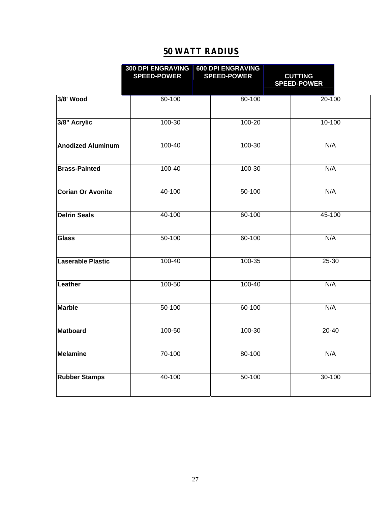|                          | <b>300 DPI ENGRAVING</b><br><b>SPEED-POWER</b> |  | <b>600 DPI ENGRAVING</b><br><b>SPEED-POWER</b> | <b>CUTTING</b><br><b>SPEED-POWER</b> |
|--------------------------|------------------------------------------------|--|------------------------------------------------|--------------------------------------|
| 3/8' Wood                | 60-100                                         |  | 80-100                                         | 20-100                               |
| 3/8" Acrylic             | 100-30                                         |  |                                                | 10-100                               |
| <b>Anodized Aluminum</b> | 100-40                                         |  |                                                | N/A                                  |
| <b>Brass-Painted</b>     | 100-40                                         |  |                                                | N/A                                  |
| <b>Corian Or Avonite</b> | 40-100                                         |  |                                                | N/A                                  |
| <b>Delrin Seals</b>      | 40-100                                         |  | 60-100                                         | 45-100                               |
| Glass                    | 50-100                                         |  | 60-100                                         | N/A                                  |
| Laserable Plastic        | 100-40                                         |  | 100-35                                         | 25-30                                |
| Leather                  | 100-50                                         |  | $100 - 40$                                     | N/A                                  |
| <b>Marble</b>            | 50-100                                         |  | 60-100                                         | N/A                                  |
| Matboard                 | 100-50                                         |  | 100-30                                         | $20 - 40$                            |
| Melamine                 | 70-100                                         |  | 80-100                                         | N/A                                  |
| <b>Rubber Stamps</b>     | 40-100                                         |  | 50-100                                         | 30-100                               |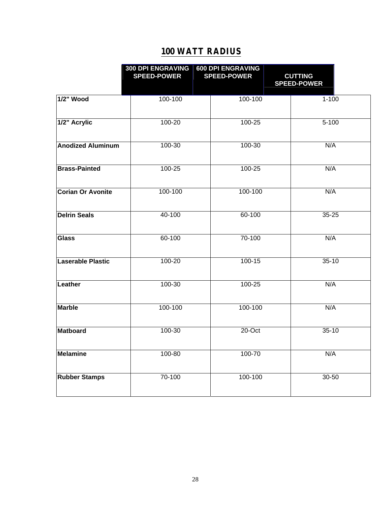|                          | <b>300 DPI ENGRAVING</b><br><b>SPEED-POWER</b> |  | <b>600 DPI ENGRAVING</b><br><b>SPEED-POWER</b> | <b>CUTTING</b><br><b>SPEED-POWER</b> |
|--------------------------|------------------------------------------------|--|------------------------------------------------|--------------------------------------|
| 1/2" Wood                | 100-100                                        |  | 100-100                                        | $1 - 100$                            |
| 1/2" Acrylic             | 100-20                                         |  |                                                | $5 - 100$                            |
| <b>Anodized Aluminum</b> | 100-30                                         |  |                                                | N/A                                  |
| <b>Brass-Painted</b>     | 100-25                                         |  | 100-25                                         | N/A                                  |
| <b>Corian Or Avonite</b> | 100-100                                        |  |                                                | N/A                                  |
| <b>Delrin Seals</b>      | 40-100                                         |  | 60-100                                         | $35 - 25$                            |
| Glass                    | 60-100                                         |  | 70-100                                         | N/A                                  |
| <b>Laserable Plastic</b> | 100-20                                         |  | 100-15                                         | $35 - 10$                            |
| Leather                  | 100-30                                         |  | $100 - 25$                                     | N/A                                  |
| <b>Marble</b>            | 100-100                                        |  | 100-100                                        | N/A                                  |
| <b>Matboard</b>          | $100 - 30$                                     |  |                                                | $35-10$                              |
| Melamine                 | 100-80                                         |  |                                                | N/A                                  |
| <b>Rubber Stamps</b>     | 70-100                                         |  | 100-100                                        | 30-50                                |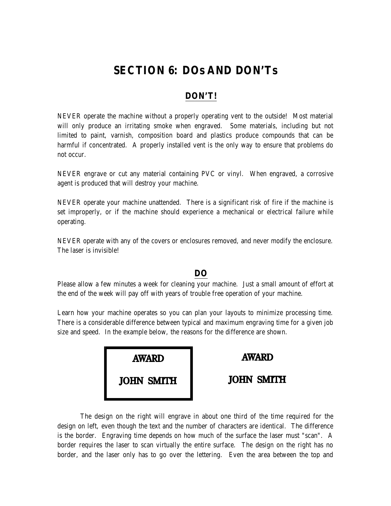## **SECTION 6: DOs AND DON'Ts**

## **DON'T!**

NEVER operate the machine without a properly operating vent to the outside! Most material will only produce an irritating smoke when engraved. Some materials, including but not limited to paint, varnish, composition board and plastics produce compounds that can be harmful if concentrated. A properly installed vent is the only way to ensure that problems do not occur.

NEVER engrave or cut any material containing PVC or vinyl. When engraved, a corrosive agent is produced that will destroy your machine.

NEVER operate your machine unattended. There is a significant risk of fire if the machine is set improperly, or if the machine should experience a mechanical or electrical failure while operating.

NEVER operate with any of the covers or enclosures removed, and never modify the enclosure. The laser is invisible!

## **DO**

Please allow a few minutes a week for cleaning your machine. Just a small amount of effort at the end of the week will pay off with years of trouble free operation of your machine.

Learn how your machine operates so you can plan your layouts to minimize processing time. There is a considerable difference between typical and maximum engraving time for a given job size and speed. In the example below, the reasons for the difference are shown.

| <b>AWARD</b>      | <b>AWARD</b>      |
|-------------------|-------------------|
| <b>JOHN SMITH</b> | <b>JOHN SMITH</b> |

The design on the right will engrave in about one third of the time required for the design on left, even though the text and the number of characters are identical. The difference is the border. Engraving time depends on how much of the surface the laser must "scan". A border requires the laser to scan virtually the entire surface. The design on the right has no border, and the laser only has to go over the lettering. Even the area between the top and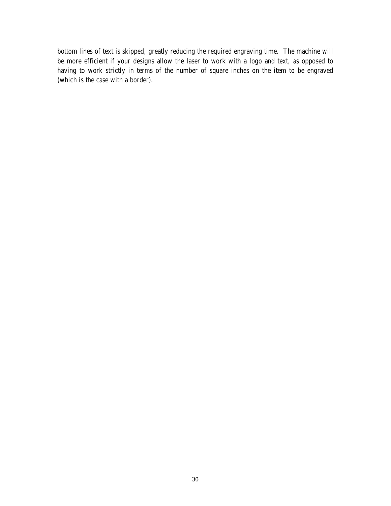bottom lines of text is skipped, greatly reducing the required engraving time. The machine will be more efficient if your designs allow the laser to work with a logo and text, as opposed to having to work strictly in terms of the number of square inches on the item to be engraved (which is the case with a border).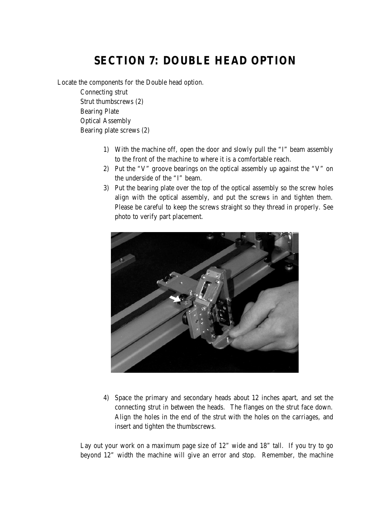## **SECTION 7: DOUBLE HEAD OPTION**

Locate the components for the Double head option.

Connecting strut Strut thumbscrews (2) Bearing Plate Optical Assembly Bearing plate screws (2)

- 1) With the machine off, open the door and slowly pull the "I" beam assembly to the front of the machine to where it is a comfortable reach.
- 2) Put the "V" groove bearings on the optical assembly up against the "V" on the underside of the "I" beam.
- 3) Put the bearing plate over the top of the optical assembly so the screw holes align with the optical assembly, and put the screws in and tighten them. Please be careful to keep the screws straight so they thread in properly. See photo to verify part placement.



4) Space the primary and secondary heads about 12 inches apart, and set the connecting strut in between the heads. The flanges on the strut face down. Align the holes in the end of the strut with the holes on the carriages, and insert and tighten the thumbscrews.

Lay out your work on a maximum page size of 12" wide and 18" tall. If you try to go beyond 12" width the machine will give an error and stop. Remember, the machine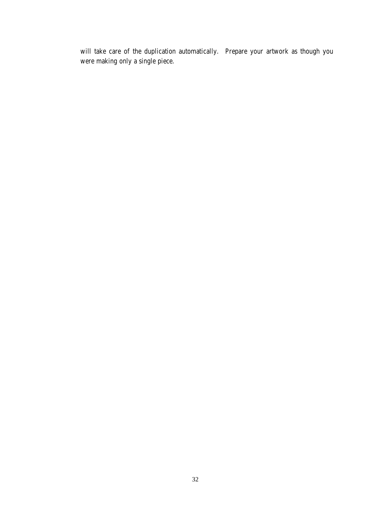will take care of the duplication automatically. Prepare your artwork as though you were making only a single piece.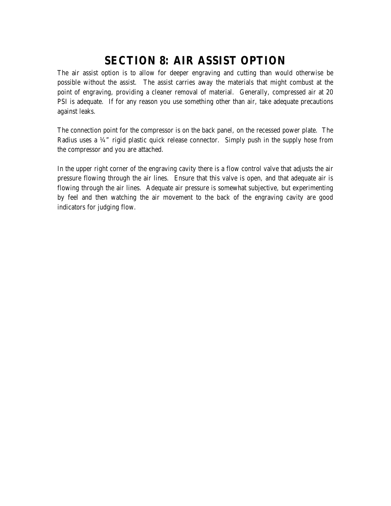## **SECTION 8: AIR ASSIST OPTION**

The air assist option is to allow for deeper engraving and cutting than would otherwise be possible without the assist. The assist carries away the materials that might combust at the point of engraving, providing a cleaner removal of material. Generally, compressed air at 20 PSI is adequate. If for any reason you use something other than air, take adequate precautions against leaks.

The connection point for the compressor is on the back panel, on the recessed power plate. The Radius uses a ¼" rigid plastic quick release connector. Simply push in the supply hose from the compressor and you are attached.

In the upper right corner of the engraving cavity there is a flow control valve that adjusts the air pressure flowing through the air lines. Ensure that this valve is open, and that adequate air is flowing through the air lines. Adequate air pressure is somewhat subjective, but experimenting by feel and then watching the air movement to the back of the engraving cavity are good indicators for judging flow.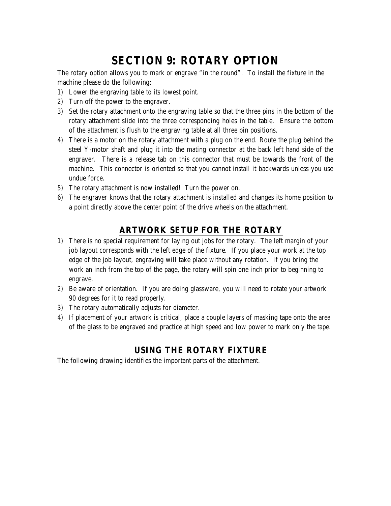## **SECTION 9: ROTARY OPTION**

The rotary option allows you to mark or engrave "in the round". To install the fixture in the machine please do the following:

- 1) Lower the engraving table to its lowest point.
- 2) Turn off the power to the engraver.
- 3) Set the rotary attachment onto the engraving table so that the three pins in the bottom of the rotary attachment slide into the three corresponding holes in the table. Ensure the bottom of the attachment is flush to the engraving table at all three pin positions.
- 4) There is a motor on the rotary attachment with a plug on the end. Route the plug behind the steel Y-motor shaft and plug it into the mating connector at the back left hand side of the engraver. There is a release tab on this connector that must be towards the front of the machine. This connector is oriented so that you cannot install it backwards unless you use undue force.
- 5) The rotary attachment is now installed! Turn the power on.
- 6) The engraver knows that the rotary attachment is installed and changes its home position to a point directly above the center point of the drive wheels on the attachment.

## **ARTWORK SETUP FOR THE ROTARY**

- 1) There is no special requirement for laying out jobs for the rotary. The left margin of your job layout corresponds with the left edge of the fixture. If you place your work at the top edge of the job layout, engraving will take place without any rotation. If you bring the work an inch from the top of the page, the rotary will spin one inch prior to beginning to engrave.
- 2) Be aware of orientation. If you are doing glassware, you will need to rotate your artwork 90 degrees for it to read properly.
- 3) The rotary automatically adjusts for diameter.
- 4) If placement of your artwork is critical, place a couple layers of masking tape onto the area of the glass to be engraved and practice at high speed and low power to mark only the tape.

## **USING THE ROTARY FIXTURE**

The following drawing identifies the important parts of the attachment.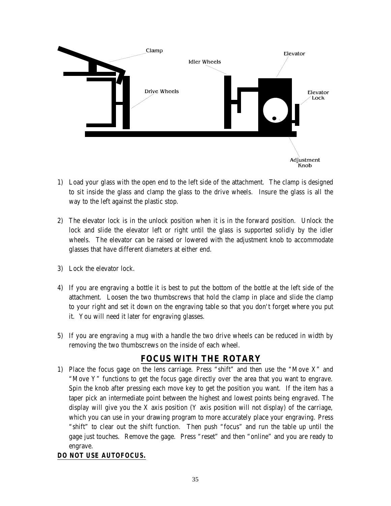

- 1) Load your glass with the open end to the left side of the attachment. The clamp is designed to sit inside the glass and clamp the glass to the drive wheels. Insure the glass is all the way to the left against the plastic stop.
- 2) The elevator lock is in the unlock position when it is in the forward position. Unlock the lock and slide the elevator left or right until the glass is supported solidly by the idler wheels. The elevator can be raised or lowered with the adjustment knob to accommodate glasses that have different diameters at either end.
- 3) Lock the elevator lock.
- 4) If you are engraving a bottle it is best to put the bottom of the bottle at the left side of the attachment. Loosen the two thumbscrews that hold the clamp in place and slide the clamp to your right and set it down on the engraving table so that you don't forget where you put it. You will need it later for engraving glasses.
- 5) If you are engraving a mug with a handle the two drive wheels can be reduced in width by removing the two thumbscrews on the inside of each wheel.

## **FOCUS WITH THE ROTARY**

1) Place the focus gage on the lens carriage. Press "shift" and then use the "Move X" and "Move Y" functions to get the focus gage directly over the area that you want to engrave. Spin the knob after pressing each move key to get the position you want. If the item has a taper pick an intermediate point between the highest and lowest points being engraved. The display will give you the X axis position  $(Y$  axis position will not display) of the carriage, which you can use in your drawing program to more accurately place your engraving. Press "shift" to clear out the shift function. Then push "focus" and run the table up until the gage just touches. Remove the gage. Press "reset" and then "online" and you are ready to engrave.

## *DO NOT USE AUTOFOCUS.*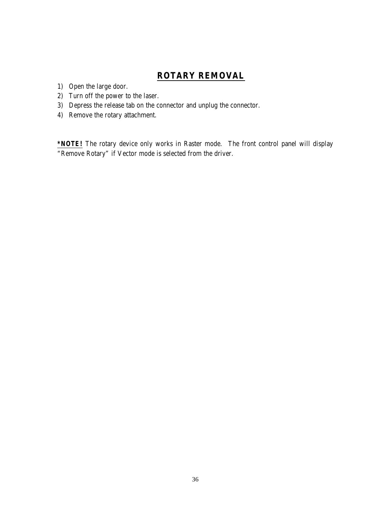## **ROTARY REMOVAL**

- 1) Open the large door.
- 2) Turn off the power to the laser.
- 3) Depress the release tab on the connector and unplug the connector.
- 4) Remove the rotary attachment.

*\*NOTE!* The rotary device only works in Raster mode. The front control panel will display "Remove Rotary" if Vector mode is selected from the driver.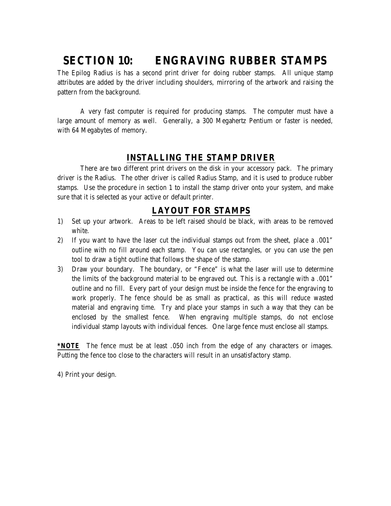## **SECTION 10: ENGRAVING RUBBER STAMPS**

The Epilog Radius is has a second print driver for doing rubber stamps. All unique stamp attributes are added by the driver including shoulders, mirroring of the artwork and raising the pattern from the background.

 A very fast computer is required for producing stamps. The computer must have a large amount of memory as well. Generally, a 300 Megahertz Pentium or faster is needed, with 64 Megabytes of memory.

## **INSTALLING THE STAMP DRIVER**

There are two different print drivers on the disk in your accessory pack. The primary driver is the Radius. The other driver is called Radius Stamp, and it is used to produce rubber stamps. Use the procedure in section 1 to install the stamp driver onto your system, and make sure that it is selected as your active or default printer.

## **LAYOUT FOR STAMPS**

- 1) Set up your artwork. Areas to be left raised should be black, with areas to be removed white.
- 2) If you want to have the laser cut the individual stamps out from the sheet, place a .001" outline with no fill around each stamp. You can use rectangles, or you can use the pen tool to draw a tight outline that follows the shape of the stamp.
- 3) Draw your boundary. The boundary, or "Fence" is what the laser will use to determine the limits of the background material to be engraved out. This is a rectangle with a .001" outline and no fill. Every part of your design must be inside the fence for the engraving to work properly. The fence should be as small as practical, as this will reduce wasted material and engraving time. Try and place your stamps in such a way that they can be enclosed by the smallest fence. When engraving multiple stamps, do not enclose individual stamp layouts with individual fences. One large fence must enclose all stamps.

*\*NOTE* The fence must be at least .050 inch from the edge of any characters or images. Putting the fence too close to the characters will result in an unsatisfactory stamp.

4) Print your design.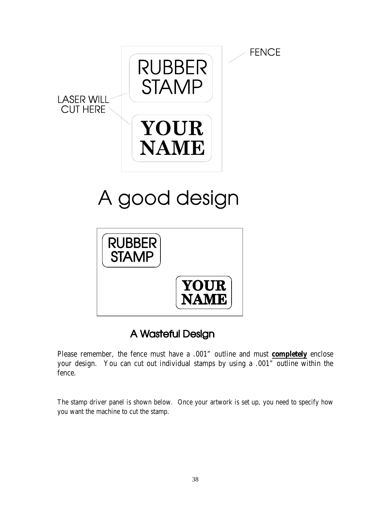

# A good design



## A Wasteful Design

Please remember, the fence must have a .001" outline and must **completely** enclose your design. You can cut out individual stamps by using a .001" outline within the fence.

The stamp driver panel is shown below. Once your artwork is set up, you need to specify how you want the machine to cut the stamp.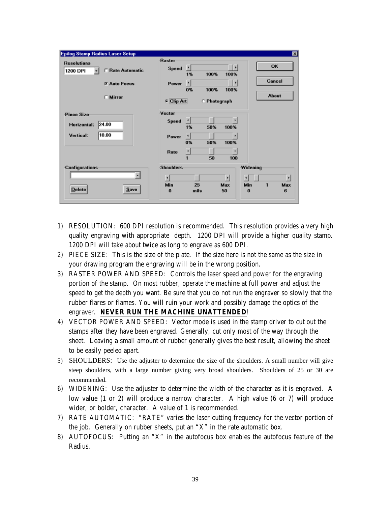| <b>Epilog Stamp Radius Laser Setup</b>                    |                               |            |              |                     |                 |                        | 図            |
|-----------------------------------------------------------|-------------------------------|------------|--------------|---------------------|-----------------|------------------------|--------------|
| <b>Resolutions</b><br><b>F</b> Rate Automatic<br>1200 DPI | <b>Raster</b><br><b>Speed</b> | H<br>1%    | 100%         | ы<br>100%           |                 | OK                     |              |
| <b>X Auto Focus</b>                                       | Power                         | ٠<br>0%    | 100%         | ×<br>100%           |                 | Cancel<br><b>About</b> |              |
| $\Box$ Mirror                                             | <b>Clip Art</b>               |            | ○ Photograph |                     |                 |                        |              |
| <b>Piece Size</b>                                         | Vector                        |            |              |                     |                 |                        |              |
| 24.00<br><b>Horizontal:</b>                               | Speed                         | ×<br>1%    | 50%          | $\ddot{}$<br>100%   |                 |                        |              |
| 18.00<br><b>Vertical:</b>                                 | Power                         | л<br>0%    | 50%          | 100%                |                 |                        |              |
|                                                           | Rate                          | ₫<br>1     | 50           | $\mathbf{F}$<br>100 |                 |                        |              |
| <b>Configurations</b>                                     | <b>Shoulders</b>              |            |              |                     | Widening        |                        |              |
|                                                           | $\left  \cdot \right $        |            |              | H                   | $\vert$         |                        | $\mathbf{r}$ |
| <b>Delete</b><br><b>Save</b>                              | Min<br>$\bf{0}$               | 25<br>mils |              | Max<br>50           | Min<br>$\Omega$ | 1                      | Max<br>6     |

- 1) RESOLUTION: 600 DPI resolution is recommended. This resolution provides a very high quality engraving with appropriate depth. 1200 DPI will provide a higher quality stamp. 1200 DPI will take about twice as long to engrave as 600 DPI.
- 2) PIECE SIZE: This is the size of the plate. If the size here is not the same as the size in your drawing program the engraving will be in the wrong position.
- 3) RASTER POWER AND SPEED: Controls the laser speed and power for the engraving portion of the stamp. On most rubber, operate the machine at full power and adjust the speed to get the depth you want. Be sure that you do not run the engraver so slowly that the rubber flares or flames. You will ruin your work and possibly damage the optics of the engraver. **NEVER RUN THE MACHINE UNATTENDED**!
- 4) VECTOR POWER AND SPEED: Vector mode is used in the stamp driver to cut out the stamps after they have been engraved. Generally, cut only most of the way through the sheet. Leaving a small amount of rubber generally gives the best result, allowing the sheet to be easily peeled apart.
- 5) SHOULDERS: Use the adjuster to determine the size of the shoulders. A small number will give steep shoulders, with a large number giving very broad shoulders. Shoulders of 25 or 30 are recommended.
- 6) WIDENING: Use the adjuster to determine the width of the character as it is engraved. A low value (1 or 2) will produce a narrow character. A high value (6 or 7) will produce wider, or bolder, character. A value of 1 is recommended.
- 7) RATE AUTOMATIC: "RATE" varies the laser cutting frequency for the vector portion of the job. Generally on rubber sheets, put an "X" in the rate automatic box.
- 8) AUTOFOCUS: Putting an "X" in the autofocus box enables the autofocus feature of the Radius.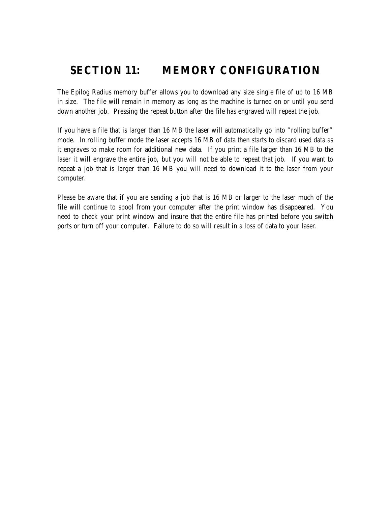## **SECTION 11: MEMORY CONFIGURATION**

The Epilog Radius memory buffer allows you to download any size single file of up to 16 MB in size. The file will remain in memory as long as the machine is turned on or until you send down another job. Pressing the repeat button after the file has engraved will repeat the job.

If you have a file that is larger than 16 MB the laser will automatically go into "rolling buffer" mode. In rolling buffer mode the laser accepts 16 MB of data then starts to discard used data as it engraves to make room for additional new data. If you print a file larger than 16 MB to the laser it will engrave the entire job, but you will not be able to repeat that job. If you want to repeat a job that is larger than 16 MB you will need to download it to the laser from your computer.

Please be aware that if you are sending a job that is 16 MB or larger to the laser much of the file will continue to spool from your computer after the print window has disappeared. You need to check your print window and insure that the entire file has printed before you switch ports or turn off your computer. Failure to do so will result in a loss of data to your laser.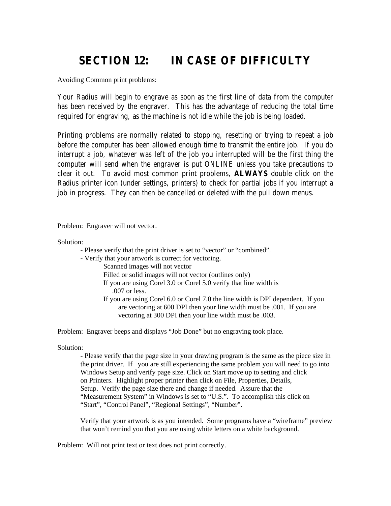## **SECTION 12: IN CASE OF DIFFICULTY**

Avoiding Common print problems:

Your Radius will begin to engrave as soon as the first line of data from the computer has been received by the engraver. This has the advantage of reducing the total time required for engraving, as the machine is not idle while the job is being loaded.

Printing problems are normally related to stopping, resetting or trying to repeat a job before the computer has been allowed enough time to transmit the entire job. If you do interrupt a job, whatever was left of the job you interrupted will be the first thing the computer will send when the engraver is put ONLINE unless you take precautions to clear it out. To avoid most common print problems, **ALWAYS** double click on the Radius printer icon (under settings, printers) to check for partial jobs if you interrupt a job in progress. They can then be cancelled or deleted with the pull down menus.

Problem: Engraver will not vector.

Solution:

- Please verify that the print driver is set to "vector" or "combined".
- Verify that your artwork is correct for vectoring.
	- Scanned images will not vector
	- Filled or solid images will not vector (outlines only)
	- If you are using Corel 3.0 or Corel 5.0 verify that line width is
		- .007 or less.
	- If you are using Corel 6.0 or Corel 7.0 the line width is DPI dependent. If you are vectoring at 600 DPI then your line width must be .001. If you are vectoring at 300 DPI then your line width must be .003.

Problem: Engraver beeps and displays "Job Done" but no engraving took place.

Solution:

- Please verify that the page size in your drawing program is the same as the piece size in the print driver. If you are still experiencing the same problem you will need to go into Windows Setup and verify page size. Click on Start move up to setting and click on Printers. Highlight proper printer then click on File, Properties, Details, Setup. Verify the page size there and change if needed. Assure that the "Measurement System" in Windows is set to "U.S.". To accomplish this click on "Start", "Control Panel", "Regional Settings", "Number".

Verify that your artwork is as you intended. Some programs have a "wireframe" preview that won't remind you that you are using white letters on a white background.

Problem: Will not print text or text does not print correctly.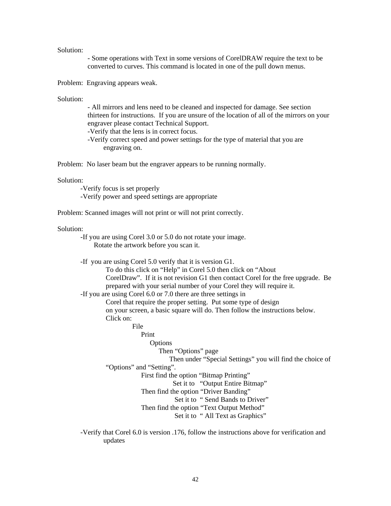#### Solution:

- Some operations with Text in some versions of CorelDRAW require the text to be converted to curves. This command is located in one of the pull down menus.

Problem: Engraving appears weak.

Solution:

- All mirrors and lens need to be cleaned and inspected for damage. See section thirteen for instructions. If you are unsure of the location of all of the mirrors on your engraver please contact Technical Support.

-Verify that the lens is in correct focus.

-Verify correct speed and power settings for the type of material that you are engraving on.

Problem: No laser beam but the engraver appears to be running normally.

#### Solution:

-Verify focus is set properly -Verify power and speed settings are appropriate

Problem: Scanned images will not print or will not print correctly.

#### Solution:

-If you are using Corel 3.0 or 5.0 do not rotate your image. Rotate the artwork before you scan it.

-If you are using Corel 5.0 verify that it is version G1. To do this click on "Help" in Corel 5.0 then click on "About CorelDraw". If it is not revision G1 then contact Corel for the free upgrade. Be prepared with your serial number of your Corel they will require it. -If you are using Corel 6.0 or 7.0 there are three settings in Corel that require the proper setting. Put some type of design on your screen, a basic square will do. Then follow the instructions below. Click on: File Print **Options**  Then "Options" page Then under "Special Settings" you will find the choice of "Options" and "Setting". First find the option "Bitmap Printing" Set it to "Output Entire Bitmap" Then find the option "Driver Banding" Set it to " Send Bands to Driver" Then find the option "Text Output Method" Set it to " All Text as Graphics"

-Verify that Corel 6.0 is version .176, follow the instructions above for verification and updates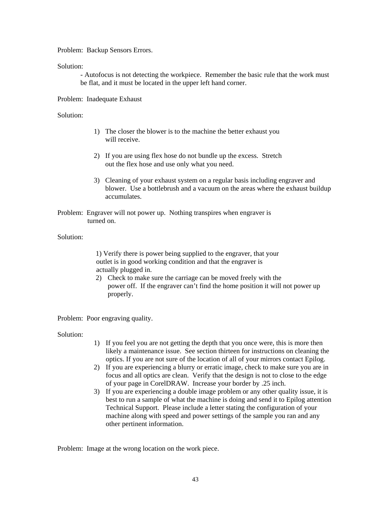Problem: Backup Sensors Errors.

Solution:

- Autofocus is not detecting the workpiece. Remember the basic rule that the work must be flat, and it must be located in the upper left hand corner.

Problem: Inadequate Exhaust

Solution:

- 1) The closer the blower is to the machine the better exhaust you will receive.
- 2) If you are using flex hose do not bundle up the excess. Stretch out the flex hose and use only what you need.
- 3) Cleaning of your exhaust system on a regular basis including engraver and blower. Use a bottlebrush and a vacuum on the areas where the exhaust buildup accumulates.
- Problem: Engraver will not power up. Nothing transpires when engraver is turned on.

Solution:

1) Verify there is power being supplied to the engraver, that your outlet is in good working condition and that the engraver is actually plugged in.

2) Check to make sure the carriage can be moved freely with the power off. If the engraver can't find the home position it will not power up properly.

Problem: Poor engraving quality.

Solution:

- 1) If you feel you are not getting the depth that you once were, this is more then likely a maintenance issue. See section thirteen for instructions on cleaning the optics. If you are not sure of the location of all of your mirrors contact Epilog.
- 2) If you are experiencing a blurry or erratic image, check to make sure you are in focus and all optics are clean. Verify that the design is not to close to the edge of your page in CorelDRAW. Increase your border by .25 inch.
- 3) If you are experiencing a double image problem or any other quality issue, it is best to run a sample of what the machine is doing and send it to Epilog attention Technical Support. Please include a letter stating the configuration of your machine along with speed and power settings of the sample you ran and any other pertinent information.

Problem: Image at the wrong location on the work piece.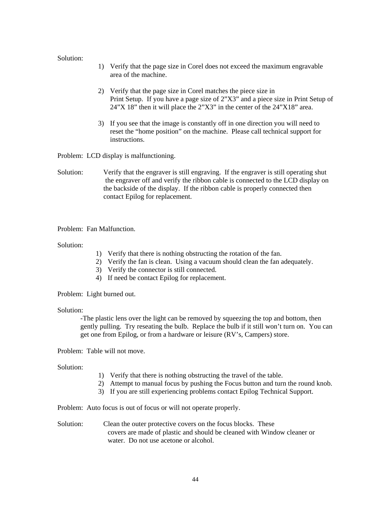#### Solution:

- 1) Verify that the page size in Corel does not exceed the maximum engravable area of the machine.
- 2) Verify that the page size in Corel matches the piece size in Print Setup. If you have a page size of 2"X3" and a piece size in Print Setup of 24"X 18" then it will place the 2"X3" in the center of the 24"X18" area.
- 3) If you see that the image is constantly off in one direction you will need to reset the "home position" on the machine. Please call technical support for instructions.

Problem: LCD display is malfunctioning.

Solution: Verify that the engraver is still engraving. If the engraver is still operating shut the engraver off and verify the ribbon cable is connected to the LCD display on the backside of the display. If the ribbon cable is properly connected then contact Epilog for replacement.

Problem: Fan Malfunction.

Solution:

- 1) Verify that there is nothing obstructing the rotation of the fan.
- 2) Verify the fan is clean. Using a vacuum should clean the fan adequately.
- 3) Verify the connector is still connected.
- 4) If need be contact Epilog for replacement.

Problem: Light burned out.

#### Solution:

-The plastic lens over the light can be removed by squeezing the top and bottom, then gently pulling. Try reseating the bulb. Replace the bulb if it still won't turn on. You can get one from Epilog, or from a hardware or leisure (RV's, Campers) store.

Problem: Table will not move.

#### Solution:

- 1) Verify that there is nothing obstructing the travel of the table.
- 2) Attempt to manual focus by pushing the Focus button and turn the round knob.
- 3) If you are still experiencing problems contact Epilog Technical Support.

Problem: Auto focus is out of focus or will not operate properly.

Solution: Clean the outer protective covers on the focus blocks. These covers are made of plastic and should be cleaned with Window cleaner or water. Do not use acetone or alcohol.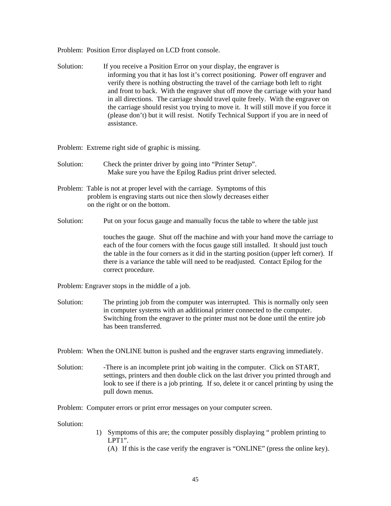Problem: Position Error displayed on LCD front console.

Solution: If you receive a Position Error on your display, the engraver is informing you that it has lost it's correct positioning. Power off engraver and verify there is nothing obstructing the travel of the carriage both left to right and front to back. With the engraver shut off move the carriage with your hand in all directions. The carriage should travel quite freely. With the engraver on the carriage should resist you trying to move it. It will still move if you force it (please don't) but it will resist. Notify Technical Support if you are in need of assistance.

Problem: Extreme right side of graphic is missing.

- Solution: Check the printer driver by going into "Printer Setup". Make sure you have the Epilog Radius print driver selected.
- Problem: Table is not at proper level with the carriage. Symptoms of this problem is engraving starts out nice then slowly decreases either on the right or on the bottom.
- Solution: Put on your focus gauge and manually focus the table to where the table just

touches the gauge. Shut off the machine and with your hand move the carriage to each of the four corners with the focus gauge still installed. It should just touch the table in the four corners as it did in the starting position (upper left corner). If there is a variance the table will need to be readjusted. Contact Epilog for the correct procedure.

Problem: Engraver stops in the middle of a job.

Solution: The printing job from the computer was interrupted. This is normally only seen in computer systems with an additional printer connected to the computer. Switching from the engraver to the printer must not be done until the entire job has been transferred.

Problem: When the ONLINE button is pushed and the engraver starts engraving immediately.

Solution: There is an incomplete print job waiting in the computer. Click on START, settings, printers and then double click on the last driver you printed through and look to see if there is a job printing. If so, delete it or cancel printing by using the pull down menus.

Problem: Computer errors or print error messages on your computer screen.

Solution:

- 1) Symptoms of this are; the computer possibly displaying " problem printing to LPT1".
	- (A) If this is the case verify the engraver is "ONLINE" (press the online key).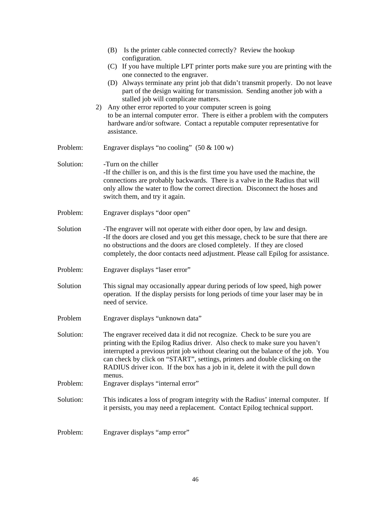|           | (B) Is the printer cable connected correctly? Review the hookup<br>configuration.                                                                                                                                                                                                                                                                                                                                       |
|-----------|-------------------------------------------------------------------------------------------------------------------------------------------------------------------------------------------------------------------------------------------------------------------------------------------------------------------------------------------------------------------------------------------------------------------------|
|           | (C) If you have multiple LPT printer ports make sure you are printing with the                                                                                                                                                                                                                                                                                                                                          |
|           | one connected to the engraver.<br>(D) Always terminate any print job that didn't transmit properly. Do not leave<br>part of the design waiting for transmission. Sending another job with a<br>stalled job will complicate matters.                                                                                                                                                                                     |
|           | Any other error reported to your computer screen is going<br>2)<br>to be an internal computer error. There is either a problem with the computers<br>hardware and/or software. Contact a reputable computer representative for<br>assistance.                                                                                                                                                                           |
| Problem:  | Engraver displays "no cooling" $(50 \& 100 w)$                                                                                                                                                                                                                                                                                                                                                                          |
| Solution: | -Turn on the chiller<br>-If the chiller is on, and this is the first time you have used the machine, the<br>connections are probably backwards. There is a valve in the Radius that will<br>only allow the water to flow the correct direction. Disconnect the hoses and<br>switch them, and try it again.                                                                                                              |
| Problem:  | Engraver displays "door open"                                                                                                                                                                                                                                                                                                                                                                                           |
| Solution  | -The engraver will not operate with either door open, by law and design.<br>-If the doors are closed and you get this message, check to be sure that there are<br>no obstructions and the doors are closed completely. If they are closed<br>completely, the door contacts need adjustment. Please call Epilog for assistance.                                                                                          |
| Problem:  | Engraver displays "laser error"                                                                                                                                                                                                                                                                                                                                                                                         |
| Solution  | This signal may occasionally appear during periods of low speed, high power<br>operation. If the display persists for long periods of time your laser may be in<br>need of service.                                                                                                                                                                                                                                     |
| Problem   | Engraver displays "unknown data"                                                                                                                                                                                                                                                                                                                                                                                        |
| Solution: | The engraver received data it did not recognize. Check to be sure you are<br>printing with the Epilog Radius driver. Also check to make sure you haven't<br>interrupted a previous print job without clearing out the balance of the job. You<br>can check by click on "START", settings, printers and double clicking on the<br>RADIUS driver icon. If the box has a job in it, delete it with the pull down<br>menus. |
| Problem:  | Engraver displays "internal error"                                                                                                                                                                                                                                                                                                                                                                                      |
| Solution: | This indicates a loss of program integrity with the Radius' internal computer. If<br>it persists, you may need a replacement. Contact Epilog technical support.                                                                                                                                                                                                                                                         |
| Problem:  | Engraver displays "amp error"                                                                                                                                                                                                                                                                                                                                                                                           |
|           |                                                                                                                                                                                                                                                                                                                                                                                                                         |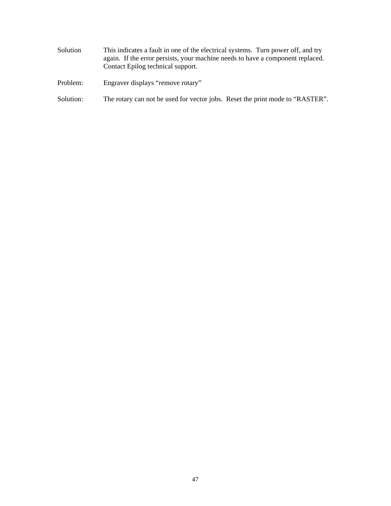- Solution This indicates a fault in one of the electrical systems. Turn power off, and try again. If the error persists, your machine needs to have a component replaced. Contact Epilog technical support.
- Problem: Engraver displays "remove rotary"
- Solution: The rotary can not be used for vector jobs. Reset the print mode to "RASTER".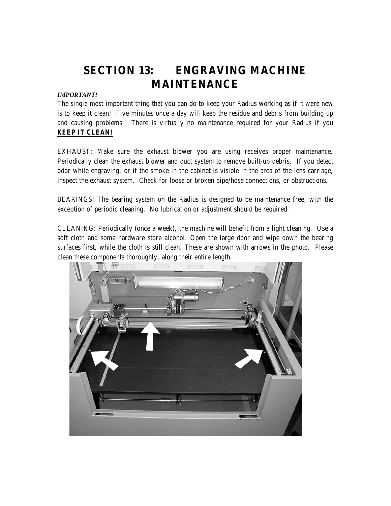## **SECTION 13: ENGRAVING MACHINE MAINTENANCE**

### *IMPORTANT!*

The single most important thing that you can do to keep your Radius working as if it were new is to keep it clean! Five minutes once a day will keep the residue and debris from building up and causing problems. There is virtually no maintenance required for your Radius if you *KEEP IT CLEAN!*

EXHAUST: Make sure the exhaust blower you are using receives proper maintenance. Periodically clean the exhaust blower and duct system to remove built-up debris. If you detect odor while engraving, or if the smoke in the cabinet is visible in the area of the lens carriage, inspect the exhaust system. Check for loose or broken pipe/hose connections, or obstructions.

BEARINGS: The bearing system on the Radius is designed to be maintenance free, with the exception of periodic cleaning. No lubrication or adjustment should be required.

CLEANING: Periodically (once a week), the machine will benefit from a light cleaning. Use a soft cloth and some hardware store alcohol. Open the large door and wipe down the bearing surfaces first, while the cloth is still clean. These are shown with arrows in the photo. Please clean these components thoroughly, along their entire length.

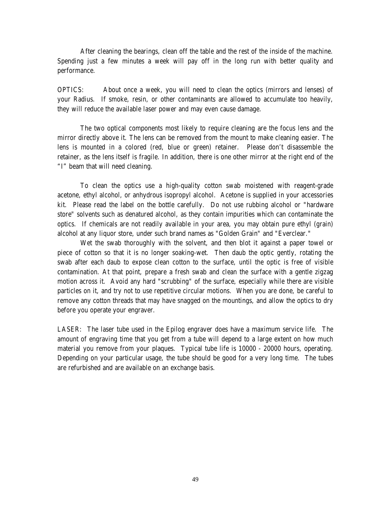After cleaning the bearings, clean off the table and the rest of the inside of the machine. Spending just a few minutes a week will pay off in the long run with better quality and performance.

OPTICS: About once a week, you will need to clean the optics (mirrors and lenses) of your Radius. If smoke, resin, or other contaminants are allowed to accumulate too heavily, they will reduce the available laser power and may even cause damage.

The two optical components most likely to require cleaning are the focus lens and the mirror directly above it. The lens can be removed from the mount to make cleaning easier. The lens is mounted in a colored (red, blue or green) retainer. Please don't disassemble the retainer, as the lens itself is fragile. In addition, there is one other mirror at the right end of the "I" beam that will need cleaning.

To clean the optics use a high-quality cotton swab moistened with reagent-grade acetone, ethyl alcohol, or anhydrous isopropyl alcohol. Acetone is supplied in your accessories kit. Please read the label on the bottle carefully. Do not use rubbing alcohol or "hardware store" solvents such as denatured alcohol, as they contain impurities which can contaminate the optics. If chemicals are not readily available in your area, you may obtain pure ethyl (grain) alcohol at any liquor store, under such brand names as "Golden Grain" and "Everclear."

Wet the swab thoroughly with the solvent, and then blot it against a paper towel or piece of cotton so that it is no longer soaking-wet. Then daub the optic gently, rotating the swab after each daub to expose clean cotton to the surface, until the optic is free of visible contamination. At that point, prepare a fresh swab and clean the surface with a gentle zigzag motion across it. Avoid any hard "scrubbing" of the surface, especially while there are visible particles on it, and try not to use repetitive circular motions. When you are done, be careful to remove any cotton threads that may have snagged on the mountings, and allow the optics to dry before you operate your engraver.

LASER: The laser tube used in the Epilog engraver does have a maximum service life. The amount of engraving time that you get from a tube will depend to a large extent on how much material you remove from your plaques. Typical tube life is 10000 - 20000 hours, operating. Depending on your particular usage, the tube should be good for a very long time. The tubes are refurbished and are available on an exchange basis.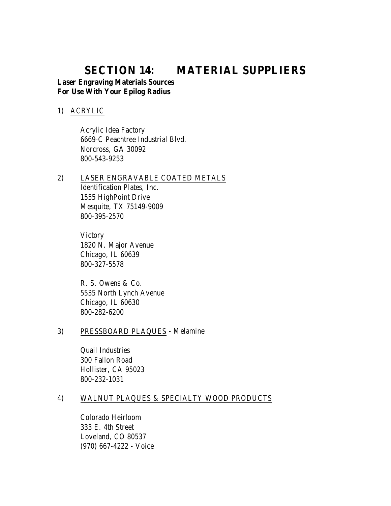## **SECTION 14: MATERIAL SUPPLIERS**

## **Laser Engraving Materials Sources For Use With Your Epilog Radius**

### 1) ACRYLIC

 Acrylic Idea Factory 6669-C Peachtree Industrial Blvd. Norcross, GA 30092 800-543-9253

## 2) LASER ENGRAVABLE COATED METALS Identification Plates, Inc. 1555 HighPoint Drive Mesquite, TX 75149-9009 800-395-2570

**Victory**  1820 N. Major Avenue Chicago, IL 60639 800-327-5578

 R. S. Owens & Co. 5535 North Lynch Avenue Chicago, IL 60630 800-282-6200

## 3) PRESSBOARD PLAQUES - Melamine

 Quail Industries 300 Fallon Road Hollister, CA 95023 800-232-1031

## 4) WALNUT PLAQUES & SPECIALTY WOOD PRODUCTS

 Colorado Heirloom 333 E. 4th Street Loveland, CO 80537 (970) 667-4222 - Voice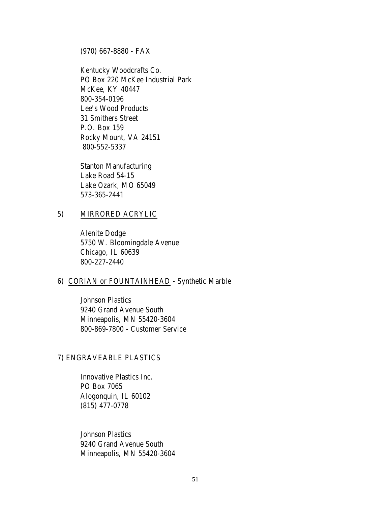(970) 667-8880 - FAX

Kentucky Woodcrafts Co. PO Box 220 McKee Industrial Park McKee, KY 40447 800-354-0196 Lee's Wood Products 31 Smithers Street P.O. Box 159 Rocky Mount, VA 24151 800-552-5337

 Stanton Manufacturing Lake Road 54-15 Lake Ozark, MO 65049 573-365-2441

### 5) MIRRORED ACRYLIC

 Alenite Dodge 5750 W. Bloomingdale Avenue Chicago, IL 60639 800-227-2440

## 6) CORIAN or FOUNTAINHEAD - Synthetic Marble

 Johnson Plastics 9240 Grand Avenue South Minneapolis, MN 55420-3604 800-869-7800 - Customer Service

### 7) ENGRAVEABLE PLASTICS

Innovative Plastics Inc. PO Box 7065 Alogonquin, IL 60102 (815) 477-0778

 Johnson Plastics 9240 Grand Avenue South Minneapolis, MN 55420-3604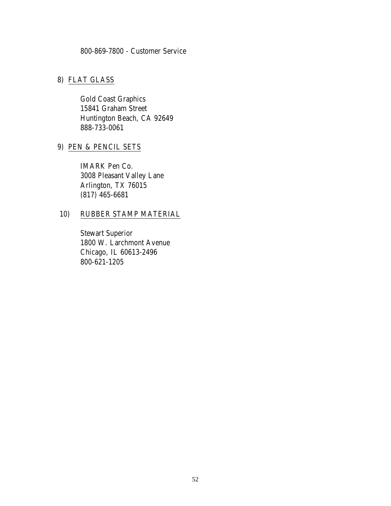## 800-869-7800 - Customer Service

## 8) FLAT GLASS

Gold Coast Graphics 15841 Graham Street Huntington Beach, CA 92649 888-733-0061

## 9) PEN & PENCIL SETS

IMARK Pen Co. 3008 Pleasant Valley Lane Arlington, TX 76015 (817) 465-6681

## 10) RUBBER STAMP MATERIAL

 Stewart Superior 1800 W. Larchmont Avenue Chicago, IL 60613-2496 800-621-1205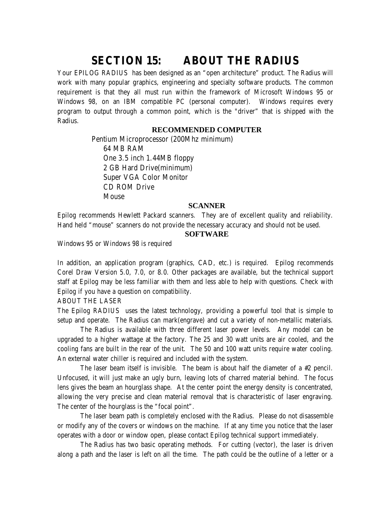## **SECTION 15: ABOUT THE RADIUS**

Your EPILOG RADIUS has been designed as an "open architecture" product. The Radius will work with many popular graphics, engineering and specialty software products. The common requirement is that they all must run within the framework of Microsoft Windows 95 or Windows 98, on an IBM compatible PC (personal computer). Windows requires every program to output through a common point, which is the "driver" that is shipped with the Radius.

### **RECOMMENDED COMPUTER**

 Pentium Microprocessor (200Mhz minimum) 64 MB RAM One 3.5 inch 1.44MB floppy 2 GB Hard Drive(minimum) Super VGA Color Monitor CD ROM Drive Mouse

#### **SCANNER**

Epilog recommends Hewlett Packard scanners. They are of excellent quality and reliability. Hand held "mouse" scanners do not provide the necessary accuracy and should not be used.

#### **SOFTWARE**

Windows 95 or Windows 98 is required

In addition, an application program (graphics, CAD, etc.) is required. Epilog recommends Corel Draw Version 5.0, 7.0, or 8.0. Other packages are available, but the technical support staff at Epilog may be less familiar with them and less able to help with questions. Check with Epilog if you have a question on compatibility.

ABOUT THE LASER

The Epilog RADIUS uses the latest technology, providing a powerful tool that is simple to setup and operate. The Radius can mark(engrave) and cut a variety of non-metallic materials.

 The Radius is available with three different laser power levels. Any model can be upgraded to a higher wattage at the factory. The 25 and 30 watt units are air cooled, and the cooling fans are built in the rear of the unit. The 50 and 100 watt units require water cooling. An external water chiller is required and included with the system.

 The laser beam itself is invisible. The beam is about half the diameter of a #2 pencil. Unfocused, it will just make an ugly burn, leaving lots of charred material behind. The focus lens gives the beam an hourglass shape. At the center point the energy density is concentrated, allowing the very precise and clean material removal that is characteristic of laser engraving. The center of the hourglass is the "focal point".

 The laser beam path is completely enclosed with the Radius. Please do not disassemble or modify any of the covers or windows on the machine. If at any time you notice that the laser operates with a door or window open, please contact Epilog technical support immediately.

 The Radius has two basic operating methods. For cutting (vector), the laser is driven along a path and the laser is left on all the time. The path could be the outline of a letter or a